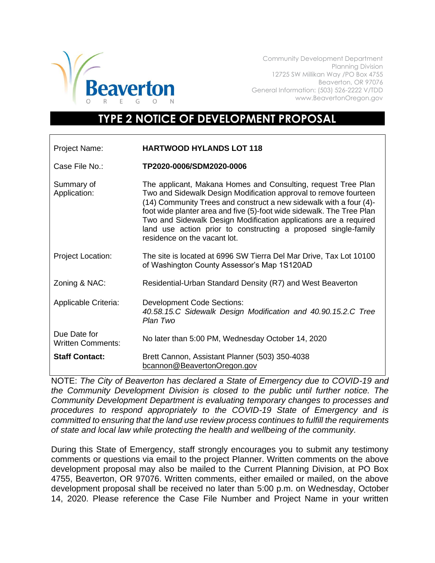

Community Development Department Planning Division 12725 SW Millikan Way /PO Box 4755 Beaverton, OR 97076 General Information: (503) 526-2222 V/TDD www.BeavertonOregon.gov

## **TYPE 2 NOTICE OF DEVELOPMENT PROPOSAL**

| Project Name:                            | <b>HARTWOOD HYLANDS LOT 118</b>                                                                                                                                                                                                                                                                                                                                                                                                                        |
|------------------------------------------|--------------------------------------------------------------------------------------------------------------------------------------------------------------------------------------------------------------------------------------------------------------------------------------------------------------------------------------------------------------------------------------------------------------------------------------------------------|
| Case File No.:                           | TP2020-0006/SDM2020-0006                                                                                                                                                                                                                                                                                                                                                                                                                               |
| Summary of<br>Application:               | The applicant, Makana Homes and Consulting, request Tree Plan<br>Two and Sidewalk Design Modification approval to remove fourteen<br>(14) Community Trees and construct a new sidewalk with a four (4)-<br>foot wide planter area and five (5)-foot wide sidewalk. The Tree Plan<br>Two and Sidewalk Design Modification applications are a required<br>land use action prior to constructing a proposed single-family<br>residence on the vacant lot. |
| <b>Project Location:</b>                 | The site is located at 6996 SW Tierra Del Mar Drive, Tax Lot 10100<br>of Washington County Assessor's Map 1S120AD                                                                                                                                                                                                                                                                                                                                      |
| Zoning & NAC:                            | Residential-Urban Standard Density (R7) and West Beaverton                                                                                                                                                                                                                                                                                                                                                                                             |
| Applicable Criteria:                     | <b>Development Code Sections:</b><br>40.58.15.C Sidewalk Design Modification and 40.90.15.2.C Tree<br>Plan Two                                                                                                                                                                                                                                                                                                                                         |
| Due Date for<br><b>Written Comments:</b> | No later than 5:00 PM, Wednesday October 14, 2020                                                                                                                                                                                                                                                                                                                                                                                                      |
| <b>Staff Contact:</b>                    | Brett Cannon, Assistant Planner (503) 350-4038<br>bcannon@BeavertonOregon.gov                                                                                                                                                                                                                                                                                                                                                                          |

NOTE: *The City of Beaverton has declared a State of Emergency due to COVID-19 and the Community Development Division is closed to the public until further notice. The Community Development Department is evaluating temporary changes to processes and procedures to respond appropriately to the COVID-19 State of Emergency and is committed to ensuring that the land use review process continues to fulfill the requirements of state and local law while protecting the health and wellbeing of the community.*

During this State of Emergency, staff strongly encourages you to submit any testimony comments or questions via email to the project Planner. Written comments on the above development proposal may also be mailed to the Current Planning Division, at PO Box 4755, Beaverton, OR 97076. Written comments, either emailed or mailed, on the above development proposal shall be received no later than 5:00 p.m. on Wednesday, October 14, 2020. Please reference the Case File Number and Project Name in your written